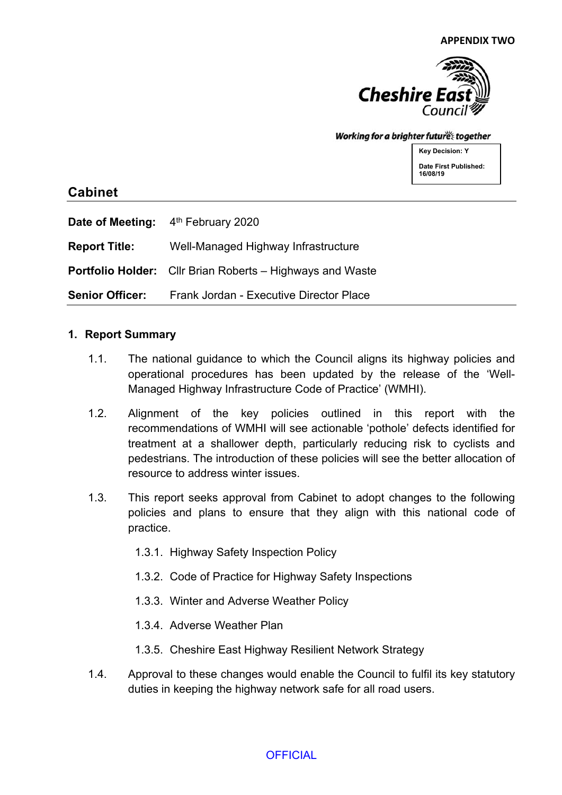

#### Working for a brighter futures together

**Key Decision: Y Date First Published: 16/08/19**

## **Cabinet**

|                        | Date of Meeting: 4 <sup>th</sup> February 2020                   |
|------------------------|------------------------------------------------------------------|
| <b>Report Title:</b>   | Well-Managed Highway Infrastructure                              |
|                        | <b>Portfolio Holder:</b> Cllr Brian Roberts – Highways and Waste |
| <b>Senior Officer:</b> | Frank Jordan - Executive Director Place                          |

#### **1. Report Summary**

- 1.1. The national guidance to which the Council aligns its highway policies and operational procedures has been updated by the release of the 'Well-Managed Highway Infrastructure Code of Practice' (WMHI).
- 1.2. Alignment of the key policies outlined in this report with the recommendations of WMHI will see actionable 'pothole' defects identified for treatment at a shallower depth, particularly reducing risk to cyclists and pedestrians. The introduction of these policies will see the better allocation of resource to address winter issues.
- 1.3. This report seeks approval from Cabinet to adopt changes to the following policies and plans to ensure that they align with this national code of practice.
	- 1.3.1. Highway Safety Inspection Policy
	- 1.3.2. Code of Practice for Highway Safety Inspections
	- 1.3.3. Winter and Adverse Weather Policy
	- 1.3.4. Adverse Weather Plan
	- 1.3.5. Cheshire East Highway Resilient Network Strategy
- 1.4. Approval to these changes would enable the Council to fulfil its key statutory duties in keeping the highway network safe for all road users.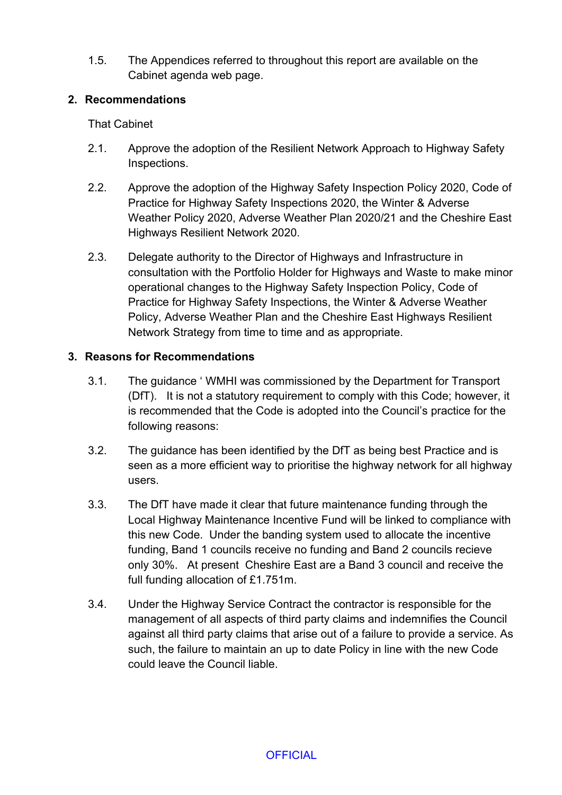1.5. The Appendices referred to throughout this report are available on the Cabinet agenda web page.

#### **2. Recommendations**

That Cabinet

- 2.1. Approve the adoption of the Resilient Network Approach to Highway Safety Inspections.
- 2.2. Approve the adoption of the Highway Safety Inspection Policy 2020, Code of Practice for Highway Safety Inspections 2020, the Winter & Adverse Weather Policy 2020, Adverse Weather Plan 2020/21 and the Cheshire East Highways Resilient Network 2020.
- 2.3. Delegate authority to the Director of Highways and Infrastructure in consultation with the Portfolio Holder for Highways and Waste to make minor operational changes to the Highway Safety Inspection Policy, Code of Practice for Highway Safety Inspections, the Winter & Adverse Weather Policy, Adverse Weather Plan and the Cheshire East Highways Resilient Network Strategy from time to time and as appropriate.

## **3. Reasons for Recommendations**

- 3.1. The guidance ' WMHI was commissioned by the Department for Transport (DfT). It is not a statutory requirement to comply with this Code; however, it is recommended that the Code is adopted into the Council's practice for the following reasons:
- 3.2. The guidance has been identified by the DfT as being best Practice and is seen as a more efficient way to prioritise the highway network for all highway users.
- 3.3. The DfT have made it clear that future maintenance funding through the Local Highway Maintenance Incentive Fund will be linked to compliance with this new Code. Under the banding system used to allocate the incentive funding, Band 1 councils receive no funding and Band 2 councils recieve only 30%. At present Cheshire East are a Band 3 council and receive the full funding allocation of £1.751m.
- 3.4. Under the Highway Service Contract the contractor is responsible for the management of all aspects of third party claims and indemnifies the Council against all third party claims that arise out of a failure to provide a service. As such, the failure to maintain an up to date Policy in line with the new Code could leave the Council liable.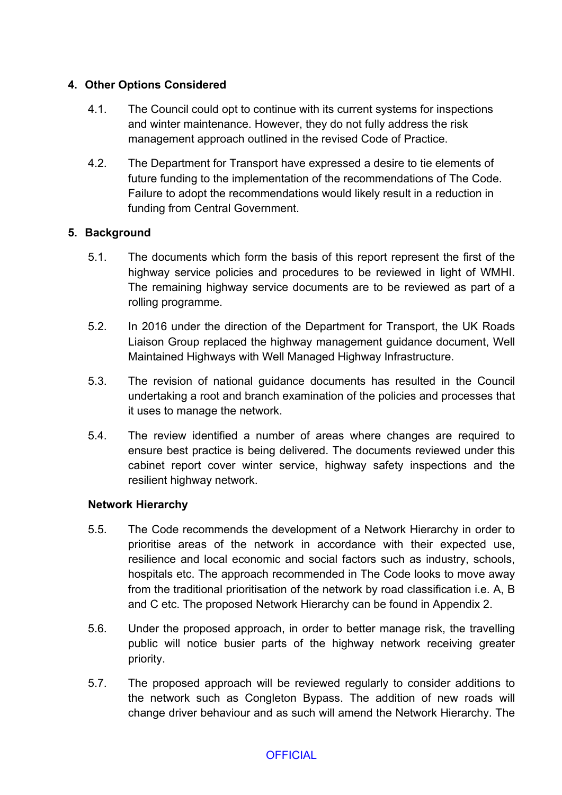## **4. Other Options Considered**

- 4.1. The Council could opt to continue with its current systems for inspections and winter maintenance. However, they do not fully address the risk management approach outlined in the revised Code of Practice.
- 4.2. The Department for Transport have expressed a desire to tie elements of future funding to the implementation of the recommendations of The Code. Failure to adopt the recommendations would likely result in a reduction in funding from Central Government.

## **5. Background**

- 5.1. The documents which form the basis of this report represent the first of the highway service policies and procedures to be reviewed in light of WMHI. The remaining highway service documents are to be reviewed as part of a rolling programme.
- 5.2. In 2016 under the direction of the Department for Transport, the UK Roads Liaison Group replaced the highway management guidance document, Well Maintained Highways with Well Managed Highway Infrastructure.
- 5.3. The revision of national guidance documents has resulted in the Council undertaking a root and branch examination of the policies and processes that it uses to manage the network.
- 5.4. The review identified a number of areas where changes are required to ensure best practice is being delivered. The documents reviewed under this cabinet report cover winter service, highway safety inspections and the resilient highway network.

## **Network Hierarchy**

- 5.5. The Code recommends the development of a Network Hierarchy in order to prioritise areas of the network in accordance with their expected use, resilience and local economic and social factors such as industry, schools, hospitals etc. The approach recommended in The Code looks to move away from the traditional prioritisation of the network by road classification i.e. A, B and C etc. The proposed Network Hierarchy can be found in Appendix 2.
- 5.6. Under the proposed approach, in order to better manage risk, the travelling public will notice busier parts of the highway network receiving greater priority.
- 5.7. The proposed approach will be reviewed regularly to consider additions to the network such as Congleton Bypass. The addition of new roads will change driver behaviour and as such will amend the Network Hierarchy. The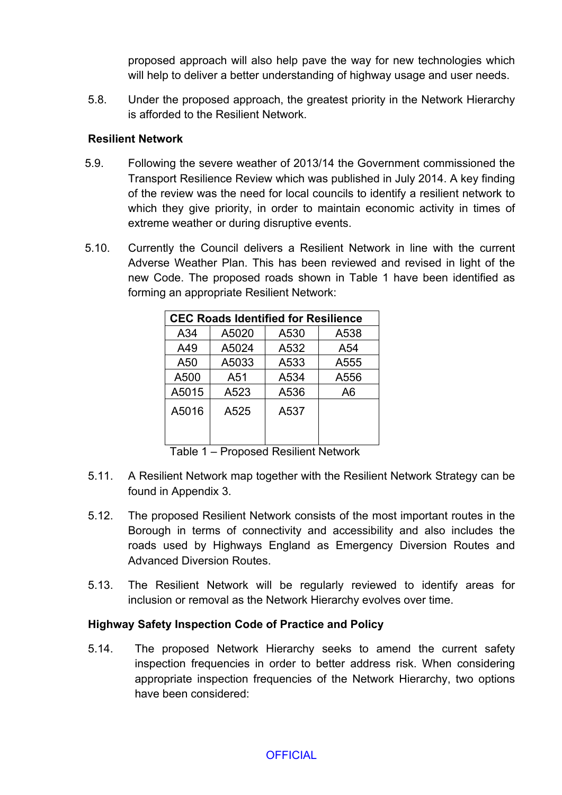proposed approach will also help pave the way for new technologies which will help to deliver a better understanding of highway usage and user needs.

5.8. Under the proposed approach, the greatest priority in the Network Hierarchy is afforded to the Resilient Network.

#### **Resilient Network**

- 5.9. Following the severe weather of 2013/14 the Government commissioned the Transport Resilience Review which was published in July 2014. A key finding of the review was the need for local councils to identify a resilient network to which they give priority, in order to maintain economic activity in times of extreme weather or during disruptive events.
- 5.10. Currently the Council delivers a Resilient Network in line with the current Adverse Weather Plan. This has been reviewed and revised in light of the new Code. The proposed roads shown in Table 1 have been identified as forming an appropriate Resilient Network:

| <b>CEC Roads Identified for Resilience</b> |       |      |      |  |
|--------------------------------------------|-------|------|------|--|
| A34                                        | A5020 | A530 | A538 |  |
| A49                                        | A5024 | A532 | A54  |  |
| A50                                        | A5033 | A533 | A555 |  |
| A500                                       | A51   | A534 | A556 |  |
| A5015                                      | A523  | A536 | A6   |  |
| A5016                                      | A525  | A537 |      |  |

Table 1 – Proposed Resilient Network

- 5.11. A Resilient Network map together with the Resilient Network Strategy can be found in Appendix 3.
- 5.12. The proposed Resilient Network consists of the most important routes in the Borough in terms of connectivity and accessibility and also includes the roads used by Highways England as Emergency Diversion Routes and Advanced Diversion Routes.
- 5.13. The Resilient Network will be regularly reviewed to identify areas for inclusion or removal as the Network Hierarchy evolves over time.

## **Highway Safety Inspection Code of Practice and Policy**

5.14. The proposed Network Hierarchy seeks to amend the current safety inspection frequencies in order to better address risk. When considering appropriate inspection frequencies of the Network Hierarchy, two options have been considered: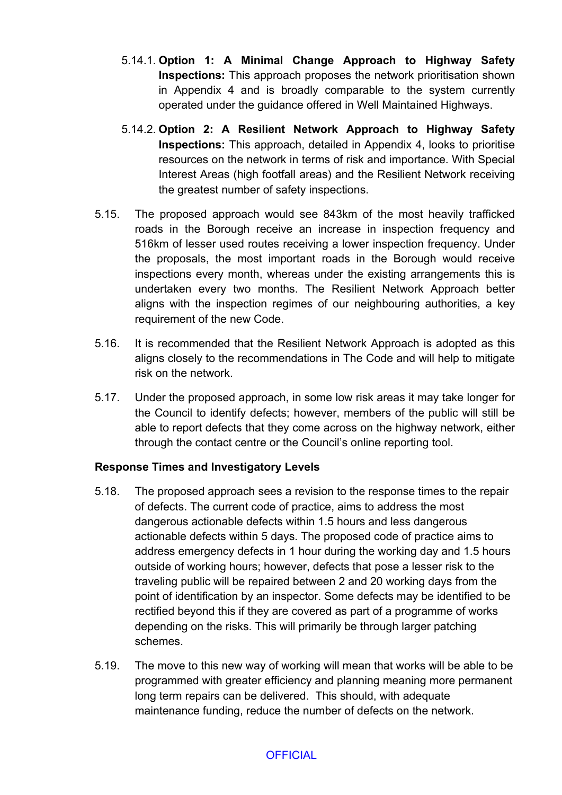- 5.14.1. **Option 1: A Minimal Change Approach to Highway Safety Inspections:** This approach proposes the network prioritisation shown in Appendix 4 and is broadly comparable to the system currently operated under the guidance offered in Well Maintained Highways.
- 5.14.2. **Option 2: A Resilient Network Approach to Highway Safety Inspections:** This approach, detailed in Appendix 4, looks to prioritise resources on the network in terms of risk and importance. With Special Interest Areas (high footfall areas) and the Resilient Network receiving the greatest number of safety inspections.
- 5.15. The proposed approach would see 843km of the most heavily trafficked roads in the Borough receive an increase in inspection frequency and 516km of lesser used routes receiving a lower inspection frequency. Under the proposals, the most important roads in the Borough would receive inspections every month, whereas under the existing arrangements this is undertaken every two months. The Resilient Network Approach better aligns with the inspection regimes of our neighbouring authorities, a key requirement of the new Code.
- 5.16. It is recommended that the Resilient Network Approach is adopted as this aligns closely to the recommendations in The Code and will help to mitigate risk on the network.
- 5.17. Under the proposed approach, in some low risk areas it may take longer for the Council to identify defects; however, members of the public will still be able to report defects that they come across on the highway network, either through the contact centre or the Council's online reporting tool.

## **Response Times and Investigatory Levels**

- 5.18. The proposed approach sees a revision to the response times to the repair of defects. The current code of practice, aims to address the most dangerous actionable defects within 1.5 hours and less dangerous actionable defects within 5 days. The proposed code of practice aims to address emergency defects in 1 hour during the working day and 1.5 hours outside of working hours; however, defects that pose a lesser risk to the traveling public will be repaired between 2 and 20 working days from the point of identification by an inspector. Some defects may be identified to be rectified beyond this if they are covered as part of a programme of works depending on the risks. This will primarily be through larger patching schemes.
- 5.19. The move to this new way of working will mean that works will be able to be programmed with greater efficiency and planning meaning more permanent long term repairs can be delivered. This should, with adequate maintenance funding, reduce the number of defects on the network.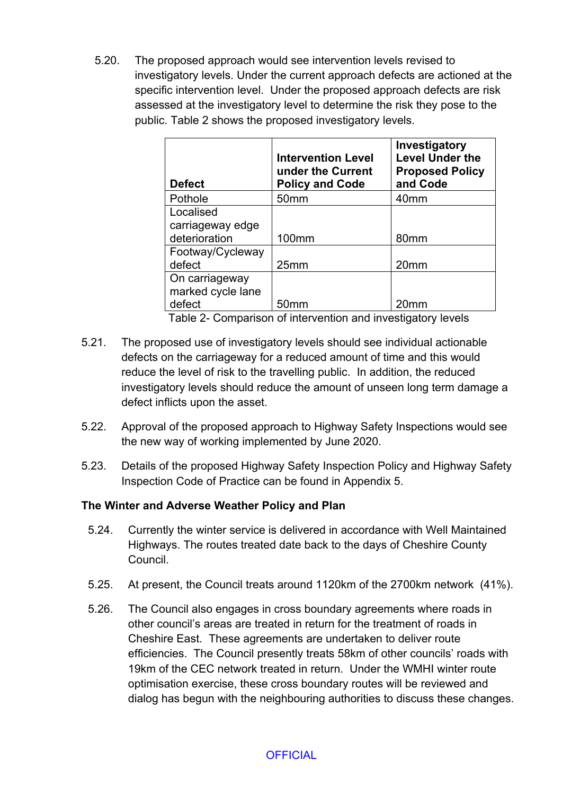5.20. The proposed approach would see intervention levels revised to investigatory levels. Under the current approach defects are actioned at the specific intervention level. Under the proposed approach defects are risk assessed at the investigatory level to determine the risk they pose to the public. Table 2 shows the proposed investigatory levels.

| <b>Defect</b>     | <b>Intervention Level</b><br>under the Current<br><b>Policy and Code</b> | Investigatory<br><b>Level Under the</b><br><b>Proposed Policy</b><br>and Code |
|-------------------|--------------------------------------------------------------------------|-------------------------------------------------------------------------------|
| Pothole           | 50 <sub>mm</sub>                                                         | 40 <sub>mm</sub>                                                              |
| Localised         |                                                                          |                                                                               |
| carriageway edge  |                                                                          |                                                                               |
| deterioration     | 100 <sub>mm</sub>                                                        | 80 <sub>mm</sub>                                                              |
| Footway/Cycleway  |                                                                          |                                                                               |
| defect            | 25mm                                                                     | 20 <sub>mm</sub>                                                              |
| On carriageway    |                                                                          |                                                                               |
| marked cycle lane |                                                                          |                                                                               |
| defect            | 50mm                                                                     | 20 <sub>mm</sub>                                                              |

Table 2- Comparison of intervention and investigatory levels

- 5.21. The proposed use of investigatory levels should see individual actionable defects on the carriageway for a reduced amount of time and this would reduce the level of risk to the travelling public. In addition, the reduced investigatory levels should reduce the amount of unseen long term damage a defect inflicts upon the asset.
- 5.22. Approval of the proposed approach to Highway Safety Inspections would see the new way of working implemented by June 2020.
- 5.23. Details of the proposed Highway Safety Inspection Policy and Highway Safety Inspection Code of Practice can be found in Appendix 5.

## **The Winter and Adverse Weather Policy and Plan**

- 5.24. Currently the winter service is delivered in accordance with Well Maintained Highways. The routes treated date back to the days of Cheshire County Council.
- 5.25. At present, the Council treats around 1120km of the 2700km network (41%).
- 5.26. The Council also engages in cross boundary agreements where roads in other council's areas are treated in return for the treatment of roads in Cheshire East. These agreements are undertaken to deliver route efficiencies. The Council presently treats 58km of other councils' roads with 19km of the CEC network treated in return. Under the WMHI winter route optimisation exercise, these cross boundary routes will be reviewed and dialog has begun with the neighbouring authorities to discuss these changes.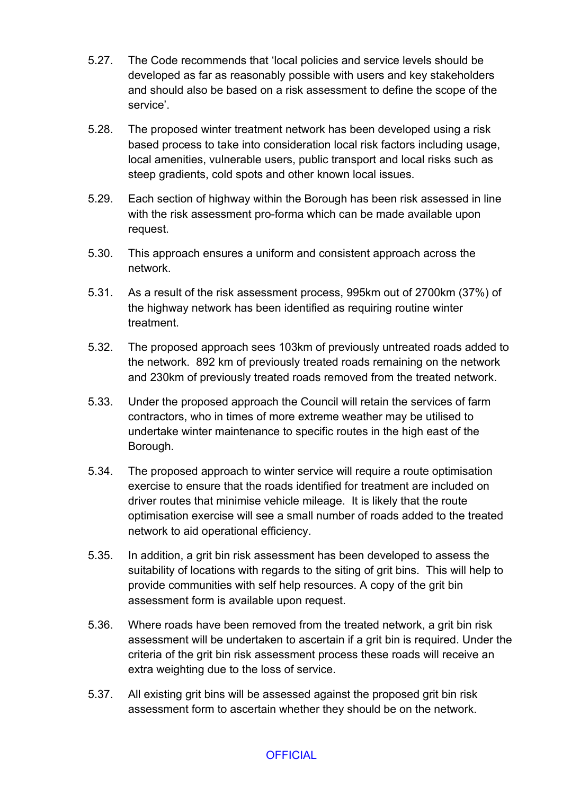- 5.27. The Code recommends that 'local policies and service levels should be developed as far as reasonably possible with users and key stakeholders and should also be based on a risk assessment to define the scope of the service'.
- 5.28. The proposed winter treatment network has been developed using a risk based process to take into consideration local risk factors including usage, local amenities, vulnerable users, public transport and local risks such as steep gradients, cold spots and other known local issues.
- 5.29. Each section of highway within the Borough has been risk assessed in line with the risk assessment pro-forma which can be made available upon request.
- 5.30. This approach ensures a uniform and consistent approach across the network.
- 5.31. As a result of the risk assessment process, 995km out of 2700km (37%) of the highway network has been identified as requiring routine winter treatment.
- 5.32. The proposed approach sees 103km of previously untreated roads added to the network. 892 km of previously treated roads remaining on the network and 230km of previously treated roads removed from the treated network.
- 5.33. Under the proposed approach the Council will retain the services of farm contractors, who in times of more extreme weather may be utilised to undertake winter maintenance to specific routes in the high east of the Borough.
- 5.34. The proposed approach to winter service will require a route optimisation exercise to ensure that the roads identified for treatment are included on driver routes that minimise vehicle mileage. It is likely that the route optimisation exercise will see a small number of roads added to the treated network to aid operational efficiency.
- 5.35. In addition, a grit bin risk assessment has been developed to assess the suitability of locations with regards to the siting of grit bins. This will help to provide communities with self help resources. A copy of the grit bin assessment form is available upon request.
- 5.36. Where roads have been removed from the treated network, a grit bin risk assessment will be undertaken to ascertain if a grit bin is required. Under the criteria of the grit bin risk assessment process these roads will receive an extra weighting due to the loss of service.
- 5.37. All existing grit bins will be assessed against the proposed grit bin risk assessment form to ascertain whether they should be on the network.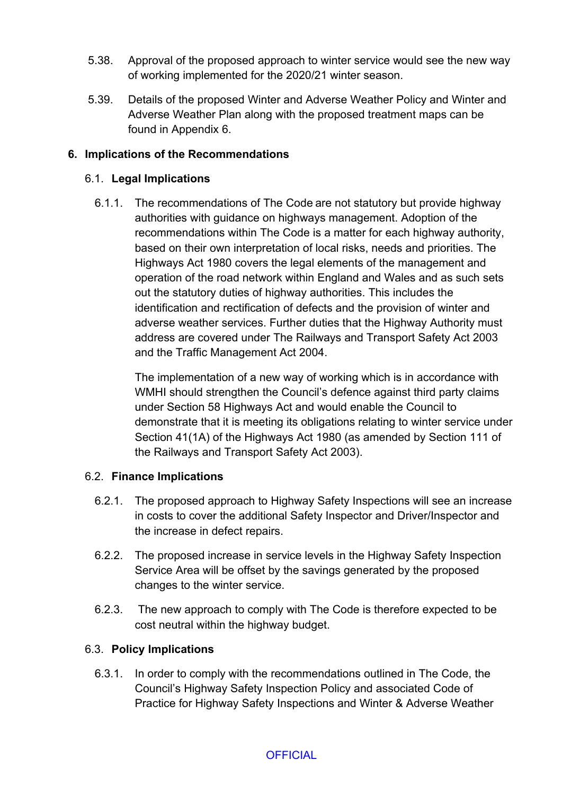- 5.38. Approval of the proposed approach to winter service would see the new way of working implemented for the 2020/21 winter season.
- 5.39. Details of the proposed Winter and Adverse Weather Policy and Winter and Adverse Weather Plan along with the proposed treatment maps can be found in Appendix 6.

## **6. Implications of the Recommendations**

## 6.1. **Legal Implications**

6.1.1. The recommendations of The Code are not statutory but provide highway authorities with guidance on highways management. Adoption of the recommendations within The Code is a matter for each highway authority, based on their own interpretation of local risks, needs and priorities. The Highways Act 1980 covers the legal elements of the management and operation of the road network within England and Wales and as such sets out the statutory duties of highway authorities. This includes the identification and rectification of defects and the provision of winter and adverse weather services. Further duties that the Highway Authority must address are covered under The Railways and Transport Safety Act 2003 and the Traffic Management Act 2004.

The implementation of a new way of working which is in accordance with WMHI should strengthen the Council's defence against third party claims under Section 58 Highways Act and would enable the Council to demonstrate that it is meeting its obligations relating to winter service under Section 41(1A) of the Highways Act 1980 (as amended by Section 111 of the Railways and Transport Safety Act 2003).

## 6.2. **Finance Implications**

- 6.2.1. The proposed approach to Highway Safety Inspections will see an increase in costs to cover the additional Safety Inspector and Driver/Inspector and the increase in defect repairs.
- 6.2.2. The proposed increase in service levels in the Highway Safety Inspection Service Area will be offset by the savings generated by the proposed changes to the winter service.
- 6.2.3. The new approach to comply with The Code is therefore expected to be cost neutral within the highway budget.

# 6.3. **Policy Implications**

6.3.1. In order to comply with the recommendations outlined in The Code, the Council's Highway Safety Inspection Policy and associated Code of Practice for Highway Safety Inspections and Winter & Adverse Weather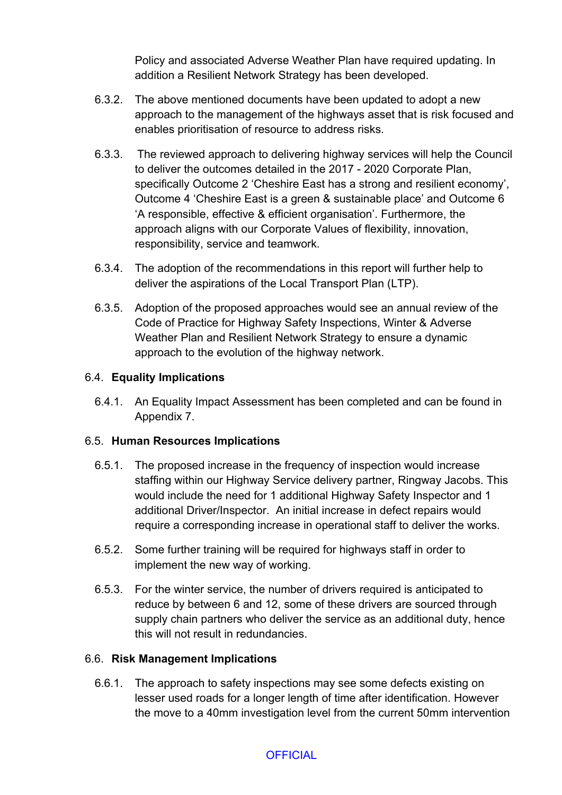Policy and associated Adverse Weather Plan have required updating. In addition a Resilient Network Strategy has been developed.

- 6.3.2. The above mentioned documents have been updated to adopt a new approach to the management of the highways asset that is risk focused and enables prioritisation of resource to address risks.
- 6.3.3. The reviewed approach to delivering highway services will help the Council to deliver the outcomes detailed in the 2017 - 2020 Corporate Plan, specifically Outcome 2 'Cheshire East has a strong and resilient economy', Outcome 4 'Cheshire East is a green & sustainable place' and Outcome 6 'A responsible, effective & efficient organisation'. Furthermore, the approach aligns with our Corporate Values of flexibility, innovation, responsibility, service and teamwork.
- 6.3.4. The adoption of the recommendations in this report will further help to deliver the aspirations of the Local Transport Plan (LTP).
- 6.3.5. Adoption of the proposed approaches would see an annual review of the Code of Practice for Highway Safety Inspections, Winter & Adverse Weather Plan and Resilient Network Strategy to ensure a dynamic approach to the evolution of the highway network.

# 6.4. **Equality Implications**

6.4.1. An Equality Impact Assessment has been completed and can be found in Appendix 7.

## 6.5. **Human Resources Implications**

- 6.5.1. The proposed increase in the frequency of inspection would increase staffing within our Highway Service delivery partner, Ringway Jacobs. This would include the need for 1 additional Highway Safety Inspector and 1 additional Driver/Inspector. An initial increase in defect repairs would require a corresponding increase in operational staff to deliver the works.
- 6.5.2. Some further training will be required for highways staff in order to implement the new way of working.
- 6.5.3. For the winter service, the number of drivers required is anticipated to reduce by between 6 and 12, some of these drivers are sourced through supply chain partners who deliver the service as an additional duty, hence this will not result in redundancies.

## 6.6. **Risk Management Implications**

6.6.1. The approach to safety inspections may see some defects existing on lesser used roads for a longer length of time after identification. However the move to a 40mm investigation level from the current 50mm intervention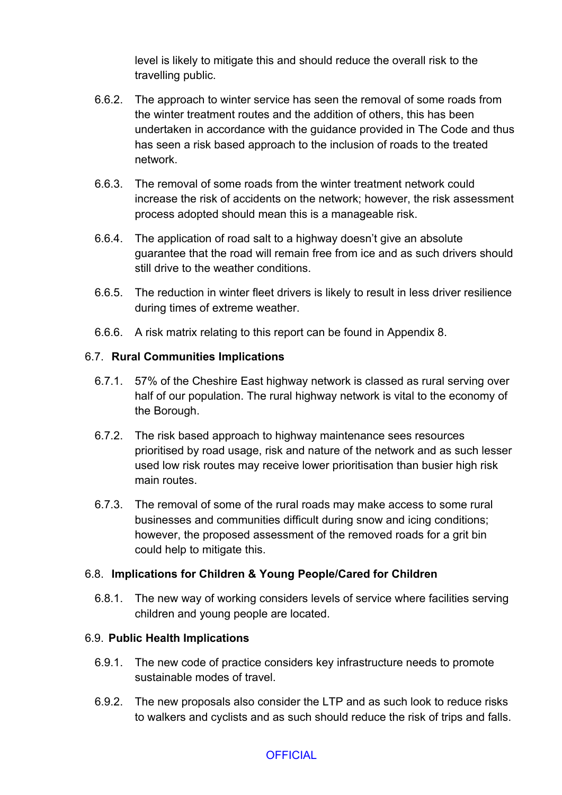level is likely to mitigate this and should reduce the overall risk to the travelling public.

- 6.6.2. The approach to winter service has seen the removal of some roads from the winter treatment routes and the addition of others, this has been undertaken in accordance with the guidance provided in The Code and thus has seen a risk based approach to the inclusion of roads to the treated network.
- 6.6.3. The removal of some roads from the winter treatment network could increase the risk of accidents on the network; however, the risk assessment process adopted should mean this is a manageable risk.
- 6.6.4. The application of road salt to a highway doesn't give an absolute guarantee that the road will remain free from ice and as such drivers should still drive to the weather conditions.
- 6.6.5. The reduction in winter fleet drivers is likely to result in less driver resilience during times of extreme weather.
- 6.6.6. A risk matrix relating to this report can be found in Appendix 8.

# 6.7. **Rural Communities Implications**

- 6.7.1. 57% of the Cheshire East highway network is classed as rural serving over half of our population. The rural highway network is vital to the economy of the Borough.
- 6.7.2. The risk based approach to highway maintenance sees resources prioritised by road usage, risk and nature of the network and as such lesser used low risk routes may receive lower prioritisation than busier high risk main routes.
- 6.7.3. The removal of some of the rural roads may make access to some rural businesses and communities difficult during snow and icing conditions; however, the proposed assessment of the removed roads for a grit bin could help to mitigate this.

## 6.8. **Implications for Children & Young People/Cared for Children**

6.8.1. The new way of working considers levels of service where facilities serving children and young people are located.

## 6.9. **Public Health Implications**

- 6.9.1. The new code of practice considers key infrastructure needs to promote sustainable modes of travel.
- 6.9.2. The new proposals also consider the LTP and as such look to reduce risks to walkers and cyclists and as such should reduce the risk of trips and falls.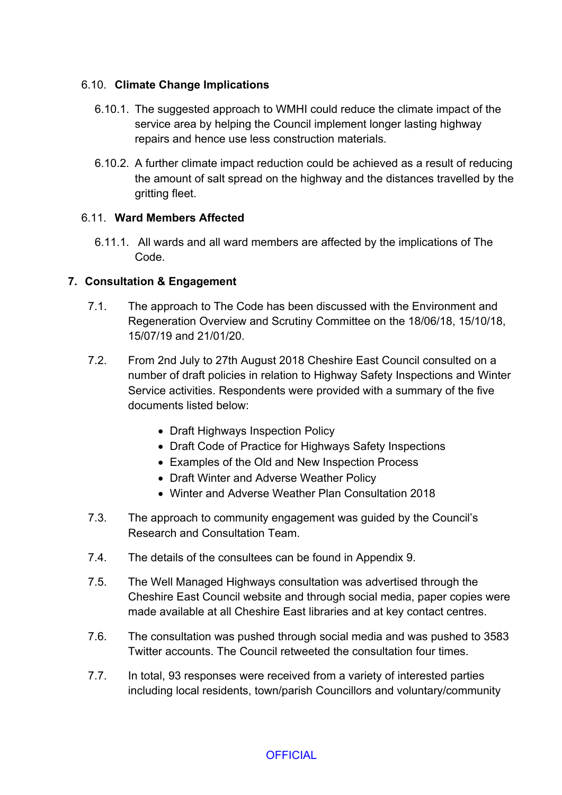## 6.10. **Climate Change Implications**

- 6.10.1. The suggested approach to WMHI could reduce the climate impact of the service area by helping the Council implement longer lasting highway repairs and hence use less construction materials.
- 6.10.2. A further climate impact reduction could be achieved as a result of reducing the amount of salt spread on the highway and the distances travelled by the gritting fleet.

## 6.11. **Ward Members Affected**

6.11.1. All wards and all ward members are affected by the implications of The Code.

# **7. Consultation & Engagement**

- 7.1. The approach to The Code has been discussed with the Environment and Regeneration Overview and Scrutiny Committee on the 18/06/18, 15/10/18, 15/07/19 and 21/01/20.
- 7.2. From 2nd July to 27th August 2018 Cheshire East Council consulted on a number of draft policies in relation to Highway Safety Inspections and Winter Service activities. Respondents were provided with a summary of the five documents listed below:
	- Draft Highways Inspection Policy
	- Draft Code of Practice for Highways Safety Inspections
	- Examples of the Old and New Inspection Process
	- Draft Winter and Adverse Weather Policy
	- Winter and Adverse Weather Plan Consultation 2018
- 7.3. The approach to community engagement was guided by the Council's Research and Consultation Team.
- 7.4. The details of the consultees can be found in Appendix 9.
- 7.5. The Well Managed Highways consultation was advertised through the Cheshire East Council website and through social media, paper copies were made available at all Cheshire East libraries and at key contact centres.
- 7.6. The consultation was pushed through social media and was pushed to 3583 Twitter accounts. The Council retweeted the consultation four times.
- 7.7. In total, 93 responses were received from a variety of interested parties including local residents, town/parish Councillors and voluntary/community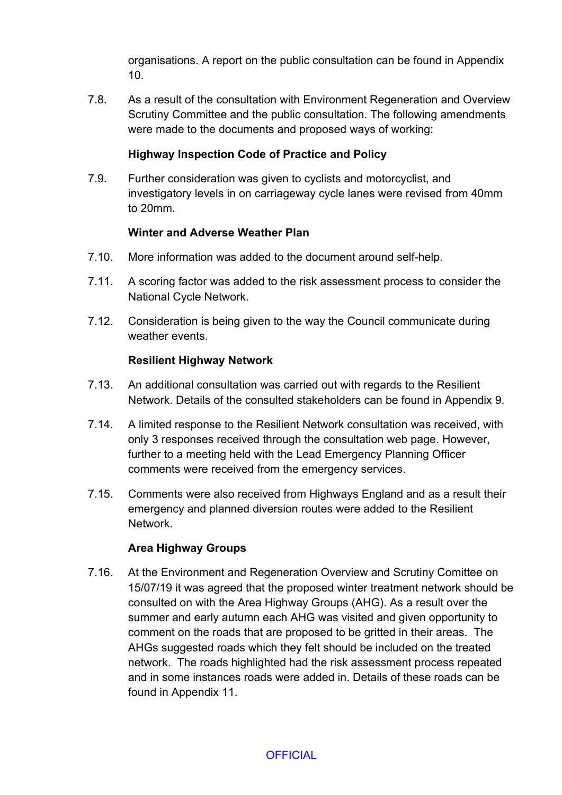organisations. A report on the public consultation can be found in Appendix 10.

7.8. As a result of the consultation with Environment Regeneration and Overview Scrutiny Committee and the public consultation. The following amendments were made to the documents and proposed ways of working:

## **Highway Inspection Code of Practice and Policy**

7.9. Further consideration was given to cyclists and motorcyclist, and investigatory levels in on carriageway cycle lanes were revised from 40mm to 20mm.

#### **Winter and Adverse Weather Plan**

- 7.10. More information was added to the document around self-help.
- 7.11. A scoring factor was added to the risk assessment process to consider the National Cycle Network.
- 7.12. Consideration is being given to the way the Council communicate during weather events.

#### **Resilient Highway Network**

- 7.13. An additional consultation was carried out with regards to the Resilient Network. Details of the consulted stakeholders can be found in Appendix 9.
- 7.14. A limited response to the Resilient Network consultation was received, with only 3 responses received through the consultation web page. However, further to a meeting held with the Lead Emergency Planning Officer comments were received from the emergency services.
- 7.15. Comments were also received from Highways England and as a result their emergency and planned diversion routes were added to the Resilient Network.

#### **Area Highway Groups**

7.16. At the Environment and Regeneration Overview and Scrutiny Comittee on 15/07/19 it was agreed that the proposed winter treatment network should be consulted on with the Area Highway Groups (AHG). As a result over the summer and early autumn each AHG was visited and given opportunity to comment on the roads that are proposed to be gritted in their areas. The AHGs suggested roads which they felt should be included on the treated network. The roads highlighted had the risk assessment process repeated and in some instances roads were added in. Details of these roads can be found in Appendix 11.